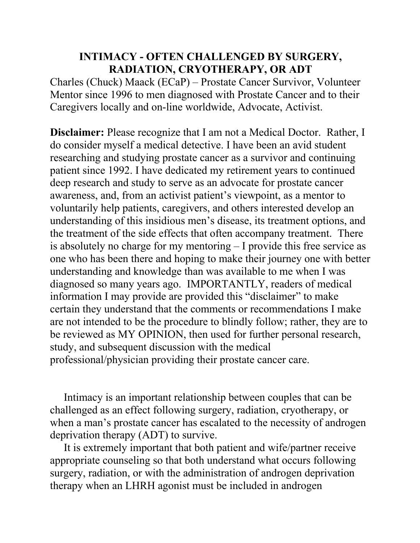## **INTIMACY - OFTEN CHALLENGED BY SURGERY, RADIATION, CRYOTHERAPY, OR ADT**

Charles (Chuck) Maack (ECaP) – Prostate Cancer Survivor, Volunteer Mentor since 1996 to men diagnosed with Prostate Cancer and to their Caregivers locally and on-line worldwide, Advocate, Activist.

**Disclaimer:** Please recognize that I am not a Medical Doctor. Rather, I do consider myself a medical detective. I have been an avid student researching and studying prostate cancer as a survivor and continuing patient since 1992. I have dedicated my retirement years to continued deep research and study to serve as an advocate for prostate cancer awareness, and, from an activist patient's viewpoint, as a mentor to voluntarily help patients, caregivers, and others interested develop an understanding of this insidious men's disease, its treatment options, and the treatment of the side effects that often accompany treatment. There is absolutely no charge for my mentoring – I provide this free service as one who has been there and hoping to make their journey one with better understanding and knowledge than was available to me when I was diagnosed so many years ago. IMPORTANTLY, readers of medical information I may provide are provided this "disclaimer" to make certain they understand that the comments or recommendations I make are not intended to be the procedure to blindly follow; rather, they are to be reviewed as MY OPINION, then used for further personal research, study, and subsequent discussion with the medical professional/physician providing their prostate cancer care.

 Intimacy is an important relationship between couples that can be challenged as an effect following surgery, radiation, cryotherapy, or when a man's prostate cancer has escalated to the necessity of androgen deprivation therapy (ADT) to survive.

 It is extremely important that both patient and wife/partner receive appropriate counseling so that both understand what occurs following surgery, radiation, or with the administration of androgen deprivation therapy when an LHRH agonist must be included in androgen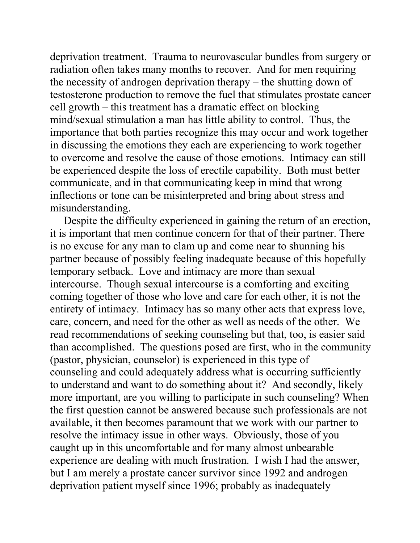deprivation treatment. Trauma to neurovascular bundles from surgery or radiation often takes many months to recover. And for men requiring the necessity of androgen deprivation therapy – the shutting down of testosterone production to remove the fuel that stimulates prostate cancer cell growth – this treatment has a dramatic effect on blocking mind/sexual stimulation a man has little ability to control. Thus, the importance that both parties recognize this may occur and work together in discussing the emotions they each are experiencing to work together to overcome and resolve the cause of those emotions. Intimacy can still be experienced despite the loss of erectile capability. Both must better communicate, and in that communicating keep in mind that wrong inflections or tone can be misinterpreted and bring about stress and misunderstanding.

 Despite the difficulty experienced in gaining the return of an erection, it is important that men continue concern for that of their partner. There is no excuse for any man to clam up and come near to shunning his partner because of possibly feeling inadequate because of this hopefully temporary setback. Love and intimacy are more than sexual intercourse. Though sexual intercourse is a comforting and exciting coming together of those who love and care for each other, it is not the entirety of intimacy. Intimacy has so many other acts that express love, care, concern, and need for the other as well as needs of the other. We read recommendations of seeking counseling but that, too, is easier said than accomplished. The questions posed are first, who in the community (pastor, physician, counselor) is experienced in this type of counseling and could adequately address what is occurring sufficiently to understand and want to do something about it? And secondly, likely more important, are you willing to participate in such counseling? When the first question cannot be answered because such professionals are not available, it then becomes paramount that we work with our partner to resolve the intimacy issue in other ways. Obviously, those of you caught up in this uncomfortable and for many almost unbearable experience are dealing with much frustration. I wish I had the answer, but I am merely a prostate cancer survivor since 1992 and androgen deprivation patient myself since 1996; probably as inadequately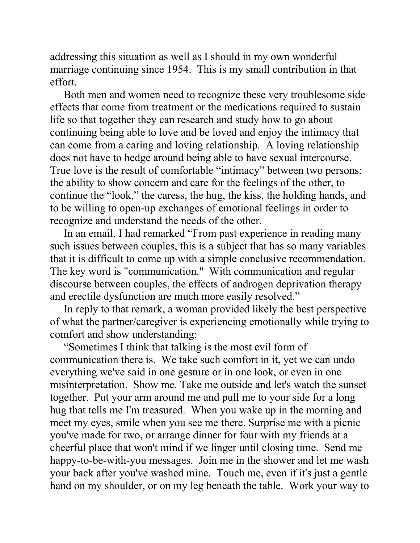addressing this situation as well as I should in my own wonderful marriage continuing since 1954. This is my small contribution in that effort.

 Both men and women need to recognize these very troublesome side effects that come from treatment or the medications required to sustain life so that together they can research and study how to go about continuing being able to love and be loved and enjoy the intimacy that can come from a caring and loving relationship. A loving relationship does not have to hedge around being able to have sexual intercourse. True love is the result of comfortable "intimacy" between two persons; the ability to show concern and care for the feelings of the other, to continue the "look," the caress, the hug, the kiss, the holding hands, and to be willing to open-up exchanges of emotional feelings in order to recognize and understand the needs of the other.

 In an email, I had remarked "From past experience in reading many such issues between couples, this is a subject that has so many variables that it is difficult to come up with a simple conclusive recommendation. The key word is "communication." With communication and regular discourse between couples, the effects of androgen deprivation therapy and erectile dysfunction are much more easily resolved."

 In reply to that remark, a woman provided likely the best perspective of what the partner/caregiver is experiencing emotionally while trying to comfort and show understanding:

 "Sometimes I think that talking is the most evil form of communication there is. We take such comfort in it, yet we can undo everything we've said in one gesture or in one look, or even in one misinterpretation. Show me. Take me outside and let's watch the sunset together. Put your arm around me and pull me to your side for a long hug that tells me I'm treasured. When you wake up in the morning and meet my eyes, smile when you see me there. Surprise me with a picnic you've made for two, or arrange dinner for four with my friends at a cheerful place that won't mind if we linger until closing time. Send me happy-to-be-with-you messages. Join me in the shower and let me wash your back after you've washed mine. Touch me, even if it's just a gentle hand on my shoulder, or on my leg beneath the table. Work your way to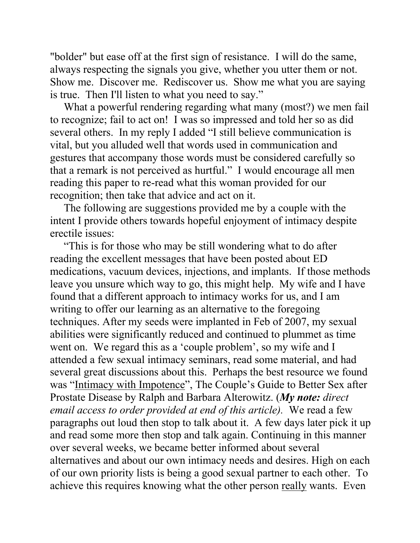"bolder" but ease off at the first sign of resistance. I will do the same, always respecting the signals you give, whether you utter them or not. Show me. Discover me. Rediscover us. Show me what you are saying is true. Then I'll listen to what you need to say."

 What a powerful rendering regarding what many (most?) we men fail to recognize; fail to act on! I was so impressed and told her so as did several others. In my reply I added "I still believe communication is vital, but you alluded well that words used in communication and gestures that accompany those words must be considered carefully so that a remark is not perceived as hurtful." I would encourage all men reading this paper to re-read what this woman provided for our recognition; then take that advice and act on it.

 The following are suggestions provided me by a couple with the intent I provide others towards hopeful enjoyment of intimacy despite erectile issues:

 "This is for those who may be still wondering what to do after reading the excellent messages that have been posted about ED medications, vacuum devices, injections, and implants. If those methods leave you unsure which way to go, this might help. My wife and I have found that a different approach to intimacy works for us, and I am writing to offer our learning as an alternative to the foregoing techniques. After my seeds were implanted in Feb of 2007, my sexual abilities were significantly reduced and continued to plummet as time went on. We regard this as a 'couple problem', so my wife and I attended a few sexual intimacy seminars, read some material, and had several great discussions about this. Perhaps the best resource we found was "Intimacy with Impotence", The Couple's Guide to Better Sex after Prostate Disease by Ralph and Barbara Alterowitz. (*My note: direct email access to order provided at end of this article).* We read a few paragraphs out loud then stop to talk about it. A few days later pick it up and read some more then stop and talk again. Continuing in this manner over several weeks, we became better informed about several alternatives and about our own intimacy needs and desires. High on each of our own priority lists is being a good sexual partner to each other. To achieve this requires knowing what the other person really wants. Even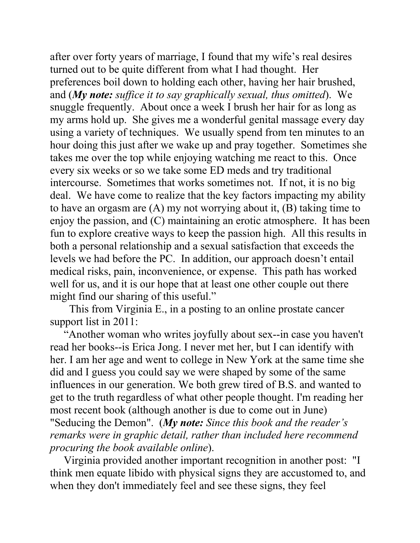after over forty years of marriage, I found that my wife's real desires turned out to be quite different from what I had thought. Her preferences boil down to holding each other, having her hair brushed, and (*My note: suffice it to say graphically sexual, thus omitted*). We snuggle frequently. About once a week I brush her hair for as long as my arms hold up. She gives me a wonderful genital massage every day using a variety of techniques. We usually spend from ten minutes to an hour doing this just after we wake up and pray together. Sometimes she takes me over the top while enjoying watching me react to this. Once every six weeks or so we take some ED meds and try traditional intercourse. Sometimes that works sometimes not. If not, it is no big deal. We have come to realize that the key factors impacting my ability to have an orgasm are  $(A)$  my not worrying about it,  $(B)$  taking time to enjoy the passion, and (C) maintaining an erotic atmosphere. It has been fun to explore creative ways to keep the passion high. All this results in both a personal relationship and a sexual satisfaction that exceeds the levels we had before the PC. In addition, our approach doesn't entail medical risks, pain, inconvenience, or expense. This path has worked well for us, and it is our hope that at least one other couple out there might find our sharing of this useful."

 This from Virginia E., in a posting to an online prostate cancer support list in 2011:

 "Another woman who writes joyfully about sex--in case you haven't read her books--is Erica Jong. I never met her, but I can identify with her. I am her age and went to college in New York at the same time she did and I guess you could say we were shaped by some of the same influences in our generation. We both grew tired of B.S. and wanted to get to the truth regardless of what other people thought. I'm reading her most recent book (although another is due to come out in June) "Seducing the Demon". (*My note: Since this book and the reader's remarks were in graphic detail, rather than included here recommend procuring the book available online*).

 Virginia provided another important recognition in another post: "I think men equate libido with physical signs they are accustomed to, and when they don't immediately feel and see these signs, they feel